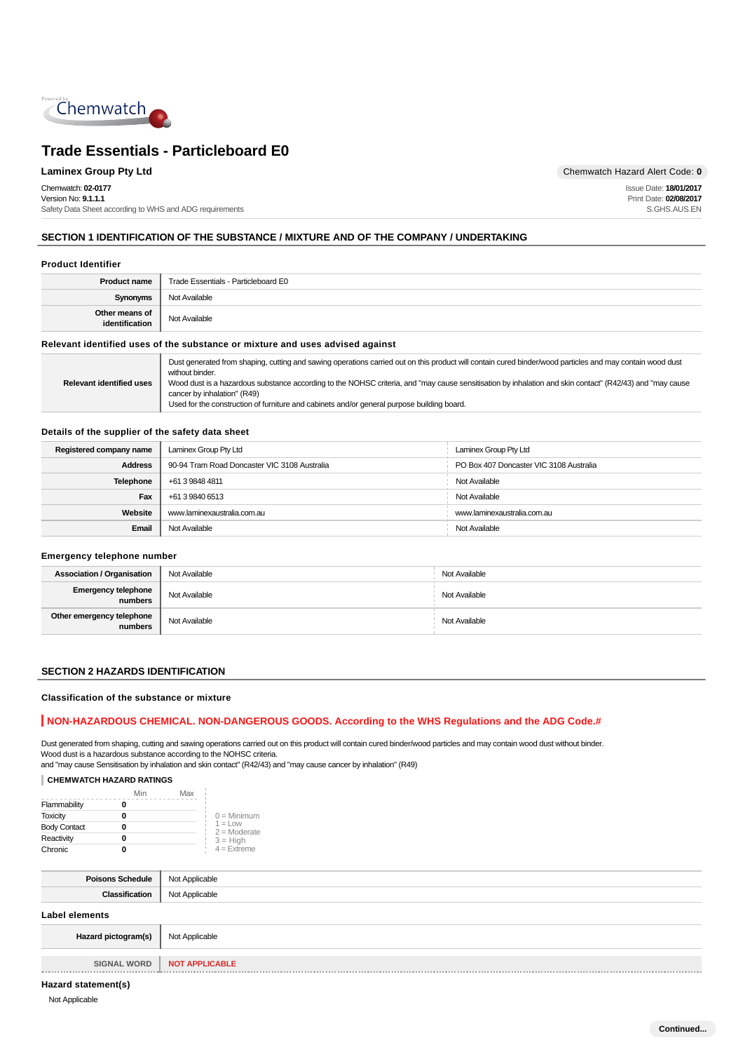

Chemwatch: **02-0177** Version No: **9.1.1.1** Safety Data Sheet according to WHS and ADG requirements

**Laminex Group Pty Ltd Chemwatch Hazard Alert Code: 0** 

Issue Date: **18/01/2017** Print Date: **02/08/2017** S.GHS.AUS.EN

### **SECTION 1 IDENTIFICATION OF THE SUBSTANCE / MIXTURE AND OF THE COMPANY / UNDERTAKING**

#### **Product Identifier**

| <b>Product name</b>                                                           | Trade Essentials - Particleboard E0 |
|-------------------------------------------------------------------------------|-------------------------------------|
| <b>Synonyms</b>                                                               | Not Available                       |
| Other means of<br>identification                                              | Not Available                       |
| Relevant identified uses of the substance or mixture and uses advised against |                                     |

#### **Relevant identified uses of the substance or mixture and uses advised against**

|                                 | Dust generated from shaping, cutting and sawing operations carried out on this product will contain cured binder/wood particles and may contain wood dust |  |
|---------------------------------|-----------------------------------------------------------------------------------------------------------------------------------------------------------|--|
| without binder.                 |                                                                                                                                                           |  |
| <b>Relevant identified uses</b> | Wood dust is a hazardous substance according to the NOHSC criteria, and "may cause sensitisation by inhalation and skin contact" (R42/43) and "may cause  |  |
|                                 | cancer by inhalation" (R49)                                                                                                                               |  |
|                                 | Used for the construction of furniture and cabinets and/or general purpose building board.                                                                |  |

#### **Details of the supplier of the safety data sheet**

| Registered company name | Laminex Group Pty Ltd                        | Laminex Group Pty Ltd                   |
|-------------------------|----------------------------------------------|-----------------------------------------|
| <b>Address</b>          | 90-94 Tram Road Doncaster VIC 3108 Australia | PO Box 407 Doncaster VIC 3108 Australia |
| <b>Telephone</b>        | +61 3 9848 4811                              | Not Available                           |
| Fax                     | +61 3 9840 6513                              | Not Available                           |
| Website                 | www.laminexaustralia.com.au                  | www.laminexaustralia.com.au             |
| Email                   | Not Available                                | Not Available                           |

#### **Emergency telephone number**

| <b>Association / Organisation</b>    | Not Available | Not Available |
|--------------------------------------|---------------|---------------|
| Emergency telephone<br>numbers       | Not Available | Not Available |
| Other emergency telephone<br>numbers | Not Available | Not Available |

#### **SECTION 2 HAZARDS IDENTIFICATION**

#### **Classification of the substance or mixture**

#### **NON-HAZARDOUS CHEMICAL. NON-DANGEROUS GOODS. According to the WHS Regulations and the ADG Code.#**

Dust generated from shaping, cutting and sawing operations carried out on this product will contain cured binder/wood particles and may contain wood dust without binder. Wood dust is a hazardous substance according to the NOHSC criteria. and "may cause Sensitisation by inhalation and skin contact" (R42/43) and "may cause cancer by inhalation" (R49)

#### **CHEMWATCH HAZARD RATINGS**

|                     | Min | Max |                              |
|---------------------|-----|-----|------------------------------|
| Flammability        | 0   |     |                              |
| <b>Toxicity</b>     | 0   |     | $0 =$ Minimum                |
| <b>Body Contact</b> | 0   |     | $1 = 1$ OW<br>$2 =$ Moderate |
| Reactivity          | 0   |     | $3 = High$                   |
| Chronic             | 0   |     | $4 =$ Extreme                |

| <b>Poisons Schedule</b> | Not Applicable        |  |
|-------------------------|-----------------------|--|
| Classification          | Not Applicable        |  |
| <b>Label elements</b>   |                       |  |
| Hazard pictogram(s)     | Not Applicable        |  |
|                         |                       |  |
| <b>SIGNAL WORD</b>      | <b>NOT APPLICABLE</b> |  |

#### **Hazard statement(s)**

Not Applicable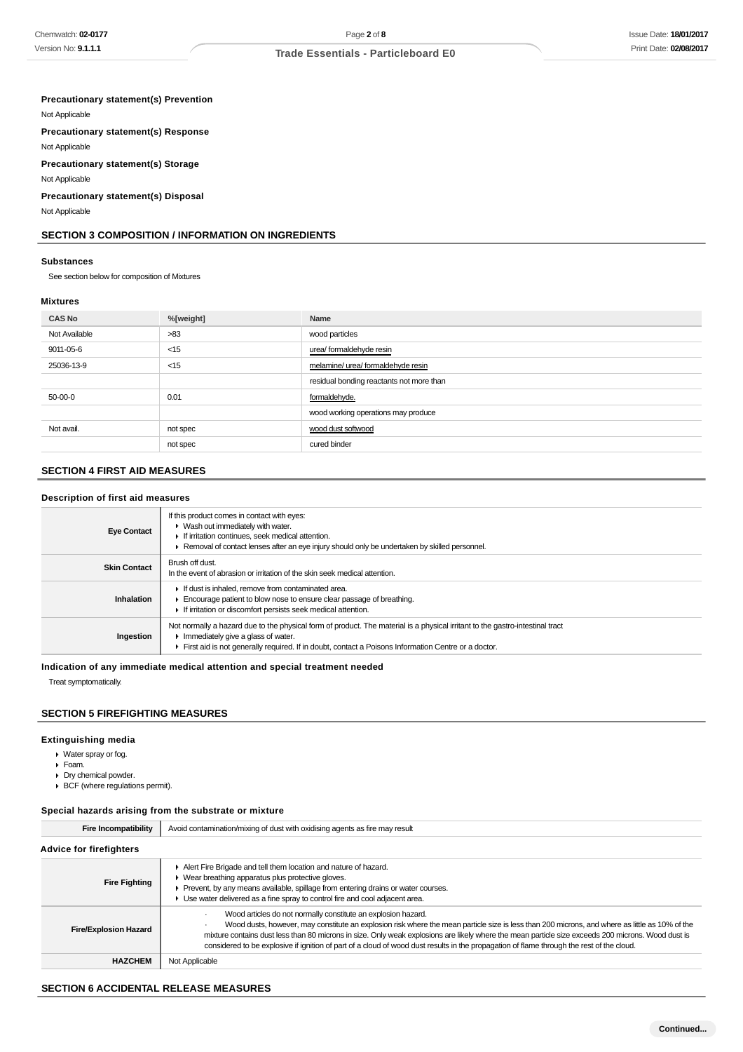### **Precautionary statement(s) Prevention**

Not Applicable

**Precautionary statement(s) Response**

Not Applicable **Precautionary statement(s) Storage**

Not Applicable

**Precautionary statement(s) Disposal**

Not Applicable

### **SECTION 3 COMPOSITION / INFORMATION ON INGREDIENTS**

#### **Substances**

See section below for composition of Mixtures

### **Mixtures**

| <b>CAS No</b> | %[weight] | Name                                     |
|---------------|-----------|------------------------------------------|
| Not Available | >83       | wood particles                           |
| 9011-05-6     | $<$ 15    | urea/ formaldehyde resin                 |
| 25036-13-9    | $<$ 15    | melamine/ urea/ formaldehyde resin       |
|               |           | residual bonding reactants not more than |
| 50-00-0       | 0.01      | formaldehyde.                            |
|               |           | wood working operations may produce      |
| Not avail.    | not spec  | wood dust softwood                       |
|               | not spec  | cured binder                             |

## **SECTION 4 FIRST AID MEASURES**

#### **Description of first aid measures**

| <b>Eye Contact</b>  | If this product comes in contact with eyes:<br>• Wash out immediately with water.<br>If irritation continues, seek medical attention.<br>Removal of contact lenses after an eye injury should only be undertaken by skilled personnel.                                     |
|---------------------|----------------------------------------------------------------------------------------------------------------------------------------------------------------------------------------------------------------------------------------------------------------------------|
| <b>Skin Contact</b> | Brush off dust.<br>In the event of abrasion or irritation of the skin seek medical attention.                                                                                                                                                                              |
| Inhalation          | If dust is inhaled, remove from contaminated area.<br>Encourage patient to blow nose to ensure clear passage of breathing.<br>If irritation or discomfort persists seek medical attention.                                                                                 |
| Ingestion           | Not normally a hazard due to the physical form of product. The material is a physical irritant to the gastro-intestinal tract<br>Immediately give a glass of water.<br>First aid is not generally required. If in doubt, contact a Poisons Information Centre or a doctor. |

**Indication of any immediate medical attention and special treatment needed**

Treat symptomatically.

### **SECTION 5 FIREFIGHTING MEASURES**

#### **Extinguishing media**

- Water spray or fog.
- Foam.
- Dry chemical powder.
- BCF (where regulations permit).

#### **Special hazards arising from the substrate or mixture**

| <b>Fire Incompatibility</b>    | Avoid contamination/mixing of dust with oxidising agents as fire may result                                                                                                                                                                                                                                                                                                                                                                                                                                        |
|--------------------------------|--------------------------------------------------------------------------------------------------------------------------------------------------------------------------------------------------------------------------------------------------------------------------------------------------------------------------------------------------------------------------------------------------------------------------------------------------------------------------------------------------------------------|
| <b>Advice for firefighters</b> |                                                                                                                                                                                                                                                                                                                                                                                                                                                                                                                    |
| <b>Fire Fighting</b>           | Alert Fire Brigade and tell them location and nature of hazard.<br>• Wear breathing apparatus plus protective gloves.<br>Prevent, by any means available, spillage from entering drains or water courses.<br>► Use water delivered as a fine spray to control fire and cool adjacent area.                                                                                                                                                                                                                         |
| <b>Fire/Explosion Hazard</b>   | Wood articles do not normally constitute an explosion hazard.<br>Wood dusts, however, may constitute an explosion risk where the mean particle size is less than 200 microns, and where as little as 10% of the<br>mixture contains dust less than 80 microns in size. Only weak explosions are likely where the mean particle size exceeds 200 microns. Wood dust is<br>considered to be explosive if ignition of part of a cloud of wood dust results in the propagation of flame through the rest of the cloud. |
| <b>HAZCHEM</b>                 | Not Applicable                                                                                                                                                                                                                                                                                                                                                                                                                                                                                                     |

#### **SECTION 6 ACCIDENTAL RELEASE MEASURES**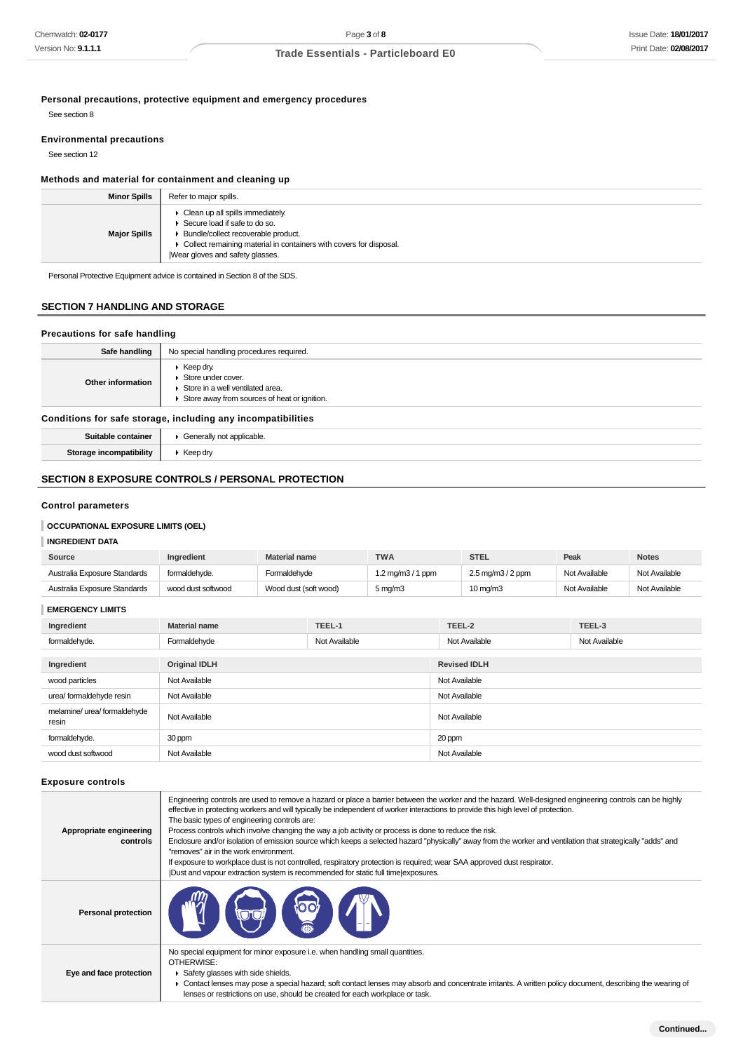**Personal precautions, protective equipment and emergency procedures**

See section 8

### **Environmental precautions**

See section 12

## **Methods and material for containment and cleaning up**

| <b>Minor Spills</b> | Refer to major spills.                                                                                                                                                                                                    |
|---------------------|---------------------------------------------------------------------------------------------------------------------------------------------------------------------------------------------------------------------------|
| <b>Major Spills</b> | • Clean up all spills immediately.<br>▶ Secure load if safe to do so.<br>• Bundle/collect recoverable product.<br>• Collect remaining material in containers with covers for disposal.<br>Wear gloves and safety glasses. |

Personal Protective Equipment advice is contained in Section 8 of the SDS.

### **SECTION 7 HANDLING AND STORAGE**

### **Precautions for safe handling**

| Safe handling                                                | No special handling procedures required.                                                                                                                |
|--------------------------------------------------------------|---------------------------------------------------------------------------------------------------------------------------------------------------------|
| Other information                                            | $\triangleright$ Keep dry.<br>Store under cover.<br>$\triangleright$ Store in a well ventilated area.<br>▶ Store away from sources of heat or ignition. |
| Conditions for safe storage, including any incompatibilities |                                                                                                                                                         |

**Conditions for safe storage, including any incompatibilities Suitable container**  $\parallel$  **F** Generally not applicable.

| Storage incompatibility | $\triangleright$ Keep dry |
|-------------------------|---------------------------|
|                         |                           |

## **SECTION 8 EXPOSURE CONTROLS / PERSONAL PROTECTION**

### **Control parameters**

### **OCCUPATIONAL EXPOSURE LIMITS (OEL)**

### **INGREDIENT DATA**

| Source                       | <b>Ingredient</b>  | <b>Material name</b>  | <b>TWA</b>                    | STEL                                       | Peak          | <b>Notes</b>  |
|------------------------------|--------------------|-----------------------|-------------------------------|--------------------------------------------|---------------|---------------|
| Australia Exposure Standards | formaldehyde.      | Formaldehvde          | $1.2 \,\mathrm{mq/m3/1\,ppm}$ | $2.5 \,\mathrm{mq/m}$ $3/2 \,\mathrm{ppm}$ | Not Available | Not Available |
| Australia Exposure Standards | wood dust softwood | Wood dust (soft wood) | $5 \text{ ma/m}$ 3            | $10 \text{ ma/m}$ 3                        | Not Available | Not Available |

#### **EMERGENCY LIMITS**

| Ingredient                            | <b>Material name</b> | TEEL-1        | TEEL-2              | TEEL-3        |  |
|---------------------------------------|----------------------|---------------|---------------------|---------------|--|
| formaldehyde.                         | Formaldehyde         | Not Available | Not Available       | Not Available |  |
|                                       |                      |               |                     |               |  |
| Ingredient                            | <b>Original IDLH</b> |               | <b>Revised IDLH</b> |               |  |
| wood particles                        | Not Available        |               | Not Available       |               |  |
| urea/ formaldehyde resin              | Not Available        |               | Not Available       |               |  |
| melamine/ urea/ formaldehyde<br>resin | Not Available        |               | Not Available       |               |  |
| formaldehyde.                         | 30 ppm               |               | 20 ppm              |               |  |
| wood dust softwood                    | Not Available        |               | Not Available       |               |  |

#### **Exposure controls**

| Appropriate engineering<br>controls | Engineering controls are used to remove a hazard or place a barrier between the worker and the hazard. Well-designed engineering controls can be highly<br>effective in protecting workers and will typically be independent of worker interactions to provide this high level of protection.<br>The basic types of engineering controls are:<br>Process controls which involve changing the way a job activity or process is done to reduce the risk.<br>Enclosure and/or isolation of emission source which keeps a selected hazard "physically" away from the worker and ventilation that strategically "adds" and<br>"removes" air in the work environment.<br>If exposure to workplace dust is not controlled, respiratory protection is required; wear SAA approved dust respirator.<br>Dust and vapour extraction system is recommended for static full time exposures. |
|-------------------------------------|--------------------------------------------------------------------------------------------------------------------------------------------------------------------------------------------------------------------------------------------------------------------------------------------------------------------------------------------------------------------------------------------------------------------------------------------------------------------------------------------------------------------------------------------------------------------------------------------------------------------------------------------------------------------------------------------------------------------------------------------------------------------------------------------------------------------------------------------------------------------------------|
| <b>Personal protection</b>          | <b>YOO</b>                                                                                                                                                                                                                                                                                                                                                                                                                                                                                                                                                                                                                                                                                                                                                                                                                                                                     |
| Eye and face protection             | No special equipment for minor exposure i.e. when handling small quantities.<br>OTHERWISE:<br>Safety glasses with side shields.<br>► Contact lenses may pose a special hazard; soft contact lenses may absorb and concentrate irritants. A written policy document, describing the wearing of<br>lenses or restrictions on use, should be created for each workplace or task.                                                                                                                                                                                                                                                                                                                                                                                                                                                                                                  |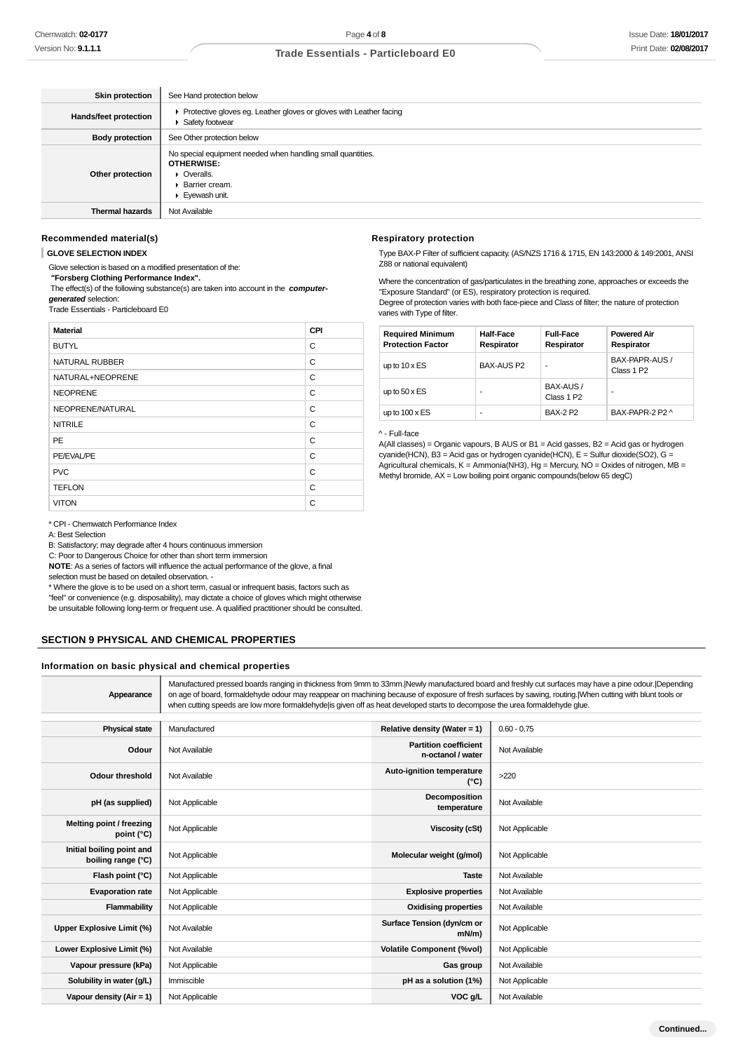| <b>Skin protection</b>       | See Hand protection below                                                                                                            |
|------------------------------|--------------------------------------------------------------------------------------------------------------------------------------|
| <b>Hands/feet protection</b> | ▶ Protective gloves eg. Leather gloves or gloves with Leather facing<br>▶ Safety footwear                                            |
| <b>Body protection</b>       | See Other protection below                                                                                                           |
| Other protection             | No special equipment needed when handling small quantities.<br><b>OTHERWISE:</b><br>• Overalls.<br>▶ Barrier cream.<br>Eyewash unit. |
| <b>Thermal hazards</b>       | Not Available                                                                                                                        |

#### **Recommended material(s)**

**GLOVE SELECTION INDEX**

Glove selection is based on a modified presentation of the:

 **"Forsberg Clothing Performance Index".**

 The effect(s) of the following substance(s) are taken into account in the **computergenerated** selection:

Trade Essentials - Particleboard E0

| <b>Material</b>  | CPI |
|------------------|-----|
| <b>BUTYL</b>     | C   |
| NATURAL RUBBER   | C   |
| NATURAL+NEOPRENE | C   |
| <b>NEOPRENE</b>  | C   |
| NEOPRENE/NATURAL | C   |
| <b>NITRILE</b>   | C   |
| PE               | C   |
| PE/EVAL/PE       | C   |
| <b>PVC</b>       | C   |
| <b>TEFLON</b>    | C   |
| <b>VITON</b>     | C   |

#### \* CPI - Chemwatch Performance Index

A: Best Selection

B: Satisfactory; may degrade after 4 hours continuous immersion

C: Poor to Dangerous Choice for other than short term immersion

**NOTE**: As a series of factors will influence the actual performance of the glove, a final

selection must be based on detailed observation. -

\* Where the glove is to be used on a short term, casual or infrequent basis, factors such as "feel" or convenience (e.g. disposability), may dictate a choice of gloves which might otherwise be unsuitable following long-term or frequent use. A qualified practitioner should be consulted.

#### **SECTION 9 PHYSICAL AND CHEMICAL PROPERTIES**

#### **Information on basic physical and chemical properties**

**Appearance** Manufactured pressed boards ranging in thickness from 9mm to 33mm.|Newly manufactured board and freshly cut surfaces may have a pine odour.|Depending on age of board, formaldehyde odour may reappear on machining because of exposure of fresh surfaces by sawing, routing.|When cutting with blunt tools or when cutting speeds are low more formaldehyde|is given off as heat developed starts to decompose the urea formaldehyde glue. **Physical state** Manufactured **Relative density (Water = 1)** 0.60 - 0.75 **Odour** Not Available **Partition coefficient n-octanol / water** Not Available **Odour threshold** Not Available **Auto-ignition temperature (°C)** >220 **pH (as supplied)** Not Applicable **Decomposition Decomposition composition**<br>**temperature** Not Available **Melting point / freezing point (°C)** Not Applicable **Viscosity (cSt)** Not Applicable **Viscosity (cSt)** Not Applicable **Initial boiling point and boiling point and Not Applicable <b>Molecular weight (g/mol)** Not Applicable **hoiling range (°C)** Not Applicable **Flash point (°C)** Not Applicable **Taste** Not Available **Taste** Not Available **Evaporation rate** Not Applicable **Explosive properties** Not Available **Flammability** Not Applicable **Notable 19th Applicable** 1 Not Available **Commability** Not Available **Upper Explosive Limit (%)** Not Available **Surface Tension (dyn/cm or Not Applicable Lower Explosive Limit (%)** Not Available **Volatile Component (%vol)** Not Applicable **Vapour pressure (kPa)** Not Applicable **Gas group** Not Available **Gas group** Not Available **Solubility in water (g/L)** Immiscible **pH as a solution (1%)** Not Applicable

**Vapour density (Air = 1)** Not Applicable **VOC g/L** Not Available **VOC g/L** Not Available

#### **Respiratory protection**

Type BAX-P Filter of sufficient capacity. (AS/NZS 1716 & 1715, EN 143:2000 & 149:2001, ANSI Z88 or national equivalent)

Where the concentration of gas/particulates in the breathing zone, approaches or exceeds the "Exposure Standard" (or ES), respiratory protection is required. Degree of protection varies with both face-piece and Class of filter; the nature of protection

varies with Type of filter.

| <b>Required Minimum</b><br><b>Protection Factor</b> | <b>Half-Face</b><br>Respirator | <b>Full-Face</b><br>Respirator      | <b>Powered Air</b><br>Respirator         |
|-----------------------------------------------------|--------------------------------|-------------------------------------|------------------------------------------|
| up to $10 \times ES$                                | <b>BAX-AUS P2</b>              | -                                   | BAX-PAPR-AUS /<br>Class 1 P <sub>2</sub> |
| up to $50 \times ES$                                | ۰                              | BAX-AUS /<br>Class 1 P <sub>2</sub> | -                                        |
| up to $100 \times ES$                               | ۰                              | <b>BAX-2 P2</b>                     | BAX-PAPR-2 P2 ^                          |

#### ^ - Full-face

A(All classes) = Organic vapours, B AUS or B1 = Acid gasses, B2 = Acid gas or hydrogen cyanide(HCN), B3 = Acid gas or hydrogen cyanide(HCN), E = Sulfur dioxide(SO2), G = Agricultural chemicals, K = Ammonia(NH3), Hg = Mercury, NO = Oxides of nitrogen, MB = Methyl bromide, AX = Low boiling point organic compounds(below 65 degC)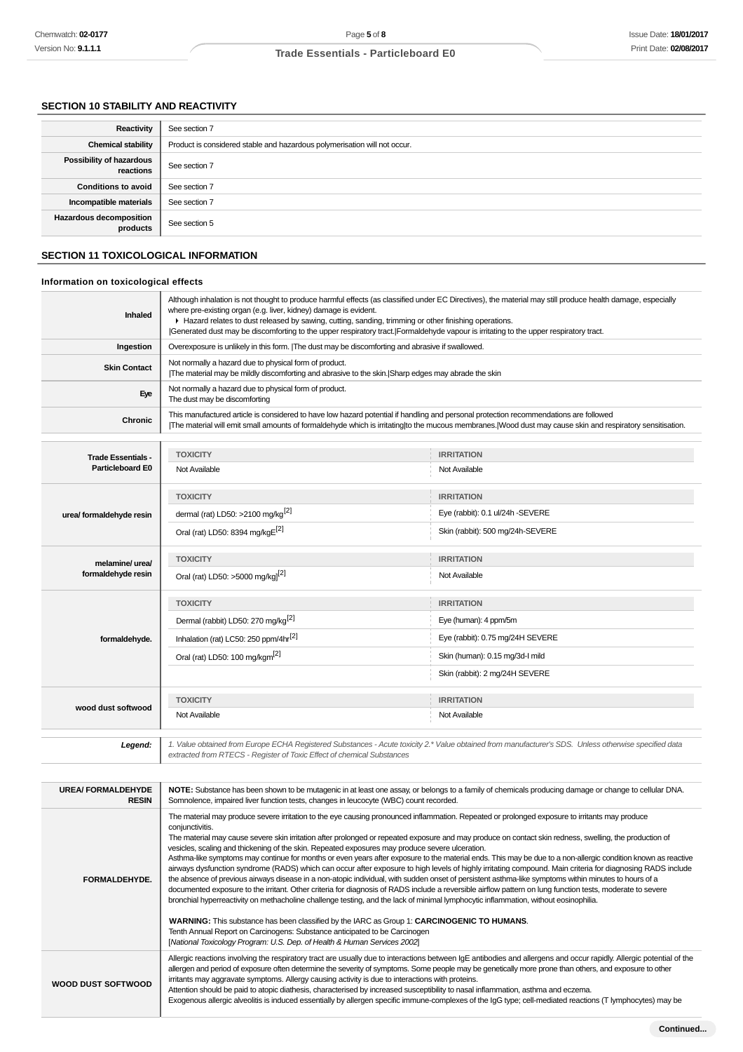### **SECTION 10 STABILITY AND REACTIVITY**

| Reactivity                                 | See section 7                                                             |
|--------------------------------------------|---------------------------------------------------------------------------|
| <b>Chemical stability</b>                  | Product is considered stable and hazardous polymerisation will not occur. |
| Possibility of hazardous<br>reactions      | See section 7                                                             |
| <b>Conditions to avoid</b>                 | See section 7                                                             |
| Incompatible materials                     | See section 7                                                             |
| <b>Hazardous decomposition</b><br>products | See section 5                                                             |

### **SECTION 11 TOXICOLOGICAL INFORMATION**

### **Information on toxicological effects**

| Inhaled                   | Although inhalation is not thought to produce harmful effects (as classified under EC Directives), the material may still produce health damage, especially<br>where pre-existing organ (e.g. liver, kidney) damage is evident.<br>► Hazard relates to dust released by sawing, cutting, sanding, trimming or other finishing operations.<br>Generated dust may be discomforting to the upper respiratory tract. Formaldehyde vapour is irritating to the upper respiratory tract. |                                  |  |
|---------------------------|------------------------------------------------------------------------------------------------------------------------------------------------------------------------------------------------------------------------------------------------------------------------------------------------------------------------------------------------------------------------------------------------------------------------------------------------------------------------------------|----------------------------------|--|
| Ingestion                 | Overexposure is unlikely in this form. [The dust may be discomforting and abrasive if swallowed.                                                                                                                                                                                                                                                                                                                                                                                   |                                  |  |
| <b>Skin Contact</b>       | Not normally a hazard due to physical form of product.<br>The material may be mildly discomforting and abrasive to the skin. Sharp edges may abrade the skin                                                                                                                                                                                                                                                                                                                       |                                  |  |
| Eye                       | Not normally a hazard due to physical form of product.<br>The dust may be discomforting                                                                                                                                                                                                                                                                                                                                                                                            |                                  |  |
| Chronic                   | This manufactured article is considered to have low hazard potential if handling and personal protection recommendations are followed<br>The material will emit small amounts of formaldehyde which is irritating to the mucous membranes. Wood dust may cause skin and respiratory sensitisation.                                                                                                                                                                                 |                                  |  |
|                           |                                                                                                                                                                                                                                                                                                                                                                                                                                                                                    |                                  |  |
| <b>Trade Essentials -</b> | <b>TOXICITY</b>                                                                                                                                                                                                                                                                                                                                                                                                                                                                    | <b>IRRITATION</b>                |  |
| <b>Particleboard E0</b>   | Not Available                                                                                                                                                                                                                                                                                                                                                                                                                                                                      | Not Available                    |  |
|                           | <b>TOXICITY</b>                                                                                                                                                                                                                                                                                                                                                                                                                                                                    | <b>IRRITATION</b>                |  |
| urea/ formaldehyde resin  | dermal (rat) LD50: >2100 mg/kg <sup>[2]</sup>                                                                                                                                                                                                                                                                                                                                                                                                                                      | Eye (rabbit): 0.1 ul/24h -SEVERE |  |
|                           | Oral (rat) LD50: 8394 mg/kgE[2]                                                                                                                                                                                                                                                                                                                                                                                                                                                    | Skin (rabbit): 500 mg/24h-SEVERE |  |
| melamine/ urea/           | <b>TOXICITY</b>                                                                                                                                                                                                                                                                                                                                                                                                                                                                    | <b>IRRITATION</b>                |  |
| formaldehyde resin        | Oral (rat) LD50: >5000 mg/kg <sup>[2]</sup>                                                                                                                                                                                                                                                                                                                                                                                                                                        | Not Available                    |  |
|                           | <b>TOXICITY</b>                                                                                                                                                                                                                                                                                                                                                                                                                                                                    | <b>IRRITATION</b>                |  |
|                           | Dermal (rabbit) LD50: 270 mg/kg <sup>[2]</sup>                                                                                                                                                                                                                                                                                                                                                                                                                                     | Eye (human): 4 ppm/5m            |  |
| formaldehyde.             | Inhalation (rat) LC50: 250 ppm/4hr <sup>[2]</sup>                                                                                                                                                                                                                                                                                                                                                                                                                                  | Eye (rabbit): 0.75 mg/24H SEVERE |  |
|                           | Oral (rat) LD50: 100 mg/kgm <sup>[2]</sup>                                                                                                                                                                                                                                                                                                                                                                                                                                         | Skin (human): 0.15 mg/3d-l mild  |  |
|                           |                                                                                                                                                                                                                                                                                                                                                                                                                                                                                    | Skin (rabbit): 2 mg/24H SEVERE   |  |
|                           | <b>TOXICITY</b>                                                                                                                                                                                                                                                                                                                                                                                                                                                                    | <b>IRRITATION</b>                |  |
| wood dust softwood        | Not Available<br>Not Available                                                                                                                                                                                                                                                                                                                                                                                                                                                     |                                  |  |
|                           |                                                                                                                                                                                                                                                                                                                                                                                                                                                                                    |                                  |  |
| Legend:                   | 1. Value obtained from Europe ECHA Registered Substances - Acute toxicity 2.* Value obtained from manufacturer's SDS. Unless otherwise specified data<br>extracted from RTECS - Register of Toxic Effect of chemical Substances                                                                                                                                                                                                                                                    |                                  |  |

| <b>UREA/FORMALDEHYDE</b><br><b>RESIN</b> | NOTE: Substance has been shown to be mutagenic in at least one assay, or belongs to a family of chemicals producing damage or change to cellular DNA.<br>Somnolence, impaired liver function tests, changes in leucocyte (WBC) count recorded.                                                                                                                                                                                                                                                                                                                                                                                                                                                                                                                                                                                                                                                                                                                                                                                                                                                                                                                                                                                                                                                                                                                                                                                                                                        |
|------------------------------------------|---------------------------------------------------------------------------------------------------------------------------------------------------------------------------------------------------------------------------------------------------------------------------------------------------------------------------------------------------------------------------------------------------------------------------------------------------------------------------------------------------------------------------------------------------------------------------------------------------------------------------------------------------------------------------------------------------------------------------------------------------------------------------------------------------------------------------------------------------------------------------------------------------------------------------------------------------------------------------------------------------------------------------------------------------------------------------------------------------------------------------------------------------------------------------------------------------------------------------------------------------------------------------------------------------------------------------------------------------------------------------------------------------------------------------------------------------------------------------------------|
| FORMALDEHYDE.                            | The material may produce severe irritation to the eye causing pronounced inflammation. Repeated or prolonged exposure to irritants may produce<br>conjunctivitis.<br>The material may cause severe skin irritation after prolonged or repeated exposure and may produce on contact skin redness, swelling, the production of<br>vesicles, scaling and thickening of the skin. Repeated exposures may produce severe ulceration.<br>Asthma-like symptoms may continue for months or even years after exposure to the material ends. This may be due to a non-allergic condition known as reactive<br>airways dysfunction syndrome (RADS) which can occur after exposure to high levels of highly irritating compound. Main criteria for diagnosing RADS include<br>the absence of previous airways disease in a non-atopic individual, with sudden onset of persistent asthma-like symptoms within minutes to hours of a<br>documented exposure to the irritant. Other criteria for diagnosis of RADS include a reversible airflow pattern on lung function tests, moderate to severe<br>bronchial hyperreactivity on methacholine challenge testing, and the lack of minimal lymphocytic inflammation, without eosinophilia.<br>WARNING: This substance has been classified by the IARC as Group 1: CARCINOGENIC TO HUMANS.<br>Tenth Annual Report on Carcinogens: Substance anticipated to be Carcinogen<br>[National Toxicology Program: U.S. Dep. of Health & Human Services 2002] |
| WOOD DUST SOFTWOOD                       | Allergic reactions involving the respiratory tract are usually due to interactions between IgE antibodies and allergens and occur rapidly. Allergic potential of the<br>allergen and period of exposure often determine the severity of symptoms. Some people may be genetically more prone than others, and exposure to other<br>irritants may aggravate symptoms. Allergy causing activity is due to interactions with proteins.<br>Attention should be paid to atopic diathesis, characterised by increased susceptibility to nasal inflammation, asthma and eczema.<br>Exogenous allergic alveolitis is induced essentially by allergen specific immune-complexes of the IgG type; cell-mediated reactions (T lymphocytes) may be                                                                                                                                                                                                                                                                                                                                                                                                                                                                                                                                                                                                                                                                                                                                                 |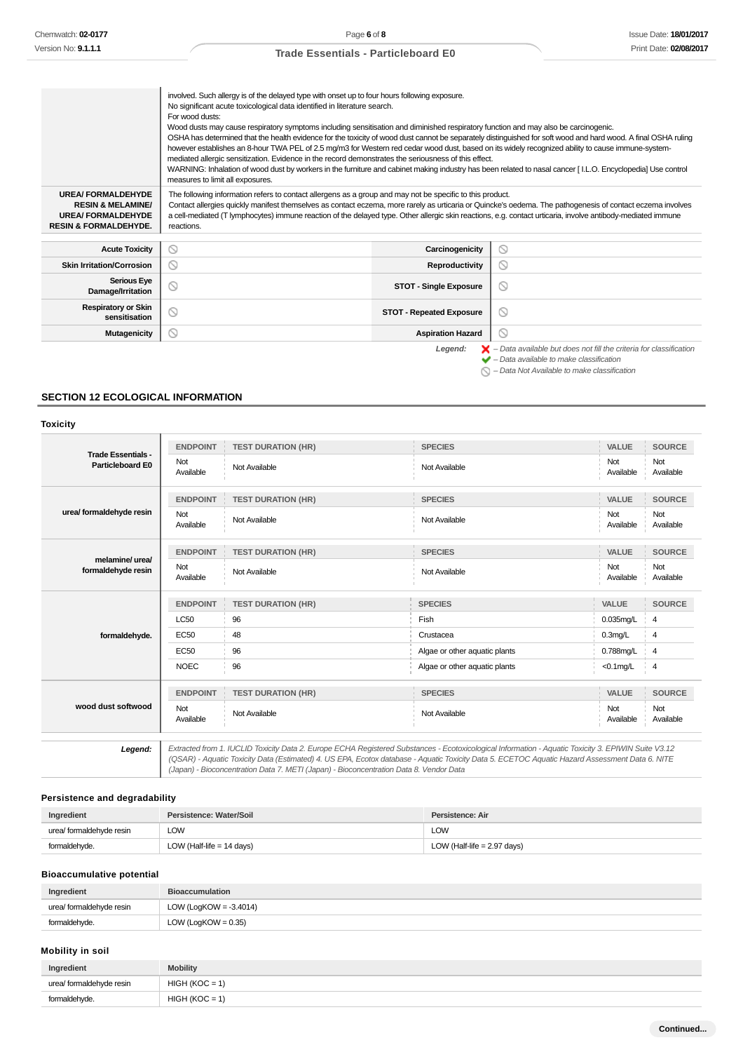$\bigcirc$  – Data Not Available to make classification

### **Trade Essentials - Particleboard E0**

|                                                                                                                          | involved. Such allergy is of the delayed type with onset up to four hours following exposure.<br>No significant acute toxicological data identified in literature search.<br>For wood dusts:<br>Wood dusts may cause respiratory symptoms including sensitisation and diminished respiratory function and may also be carcinogenic.<br>OSHA has determined that the health evidence for the toxicity of wood dust cannot be separately distinguished for soft wood and hard wood. A final OSHA ruling<br>however establishes an 8-hour TWA PEL of 2.5 mg/m3 for Western red cedar wood dust, based on its widely recognized ability to cause immune-system-<br>mediated allergic sensitization. Evidence in the record demonstrates the seriousness of this effect.<br>WARNING: Inhalation of wood dust by workers in the furniture and cabinet making industry has been related to nasal cancer [I.L.O. Encyclopedia] Use control<br>measures to limit all exposures. |                                 |                                                                                                                                                           |
|--------------------------------------------------------------------------------------------------------------------------|------------------------------------------------------------------------------------------------------------------------------------------------------------------------------------------------------------------------------------------------------------------------------------------------------------------------------------------------------------------------------------------------------------------------------------------------------------------------------------------------------------------------------------------------------------------------------------------------------------------------------------------------------------------------------------------------------------------------------------------------------------------------------------------------------------------------------------------------------------------------------------------------------------------------------------------------------------------------|---------------------------------|-----------------------------------------------------------------------------------------------------------------------------------------------------------|
| <b>UREA/FORMALDEHYDE</b><br><b>RESIN &amp; MELAMINE/</b><br><b>UREA/FORMALDEHYDE</b><br><b>RESIN &amp; FORMALDEHYDE.</b> | The following information refers to contact allergens as a group and may not be specific to this product.<br>Contact allergies quickly manifest themselves as contact eczema, more rarely as urticaria or Quincke's oedema. The pathogenesis of contact eczema involves<br>a cell-mediated (T lymphocytes) immune reaction of the delayed type. Other allergic skin reactions, e.g. contact urticaria, involve antibody-mediated immune<br>reactions.                                                                                                                                                                                                                                                                                                                                                                                                                                                                                                                  |                                 |                                                                                                                                                           |
| <b>Acute Toxicity</b>                                                                                                    | ⊚                                                                                                                                                                                                                                                                                                                                                                                                                                                                                                                                                                                                                                                                                                                                                                                                                                                                                                                                                                      | Carcinogenicity                 | O                                                                                                                                                         |
| <b>Skin Irritation/Corrosion</b>                                                                                         | N                                                                                                                                                                                                                                                                                                                                                                                                                                                                                                                                                                                                                                                                                                                                                                                                                                                                                                                                                                      | Reproductivity                  | ⊙                                                                                                                                                         |
| <b>Serious Eye</b><br>Damage/Irritation                                                                                  |                                                                                                                                                                                                                                                                                                                                                                                                                                                                                                                                                                                                                                                                                                                                                                                                                                                                                                                                                                        | <b>STOT - Single Exposure</b>   | 0                                                                                                                                                         |
| <b>Respiratory or Skin</b><br>sensitisation                                                                              | Q                                                                                                                                                                                                                                                                                                                                                                                                                                                                                                                                                                                                                                                                                                                                                                                                                                                                                                                                                                      | <b>STOT - Repeated Exposure</b> | $\odot$                                                                                                                                                   |
| <b>Mutagenicity</b>                                                                                                      | N                                                                                                                                                                                                                                                                                                                                                                                                                                                                                                                                                                                                                                                                                                                                                                                                                                                                                                                                                                      | <b>Aspiration Hazard</b>        | 0                                                                                                                                                         |
|                                                                                                                          |                                                                                                                                                                                                                                                                                                                                                                                                                                                                                                                                                                                                                                                                                                                                                                                                                                                                                                                                                                        | Legend:                         | $\blacktriangleright$ - Data available but does not fill the criteria for classification<br>$\blacktriangleright$ - Data available to make classification |

### **SECTION 12 ECOLOGICAL INFORMATION**

#### **Toxicity**

| <b>Trade Essentials -</b>             | <b>ENDPOINT</b>  | <b>TEST DURATION (HR)</b> | <b>SPECIES</b>                                                                                                                                                                                                                                                                                        | VALUE            | <b>SOURCE</b>    |
|---------------------------------------|------------------|---------------------------|-------------------------------------------------------------------------------------------------------------------------------------------------------------------------------------------------------------------------------------------------------------------------------------------------------|------------------|------------------|
| Particleboard E0                      | Not<br>Available | Not Available             | Not Available                                                                                                                                                                                                                                                                                         | Not<br>Available | Not<br>Available |
|                                       | <b>ENDPOINT</b>  | <b>TEST DURATION (HR)</b> | <b>SPECIES</b>                                                                                                                                                                                                                                                                                        | VALUE            | <b>SOURCE</b>    |
| urea/ formaldehyde resin              | Not<br>Available | Not Available             | Not Available                                                                                                                                                                                                                                                                                         | Not<br>Available | Not<br>Available |
|                                       | <b>ENDPOINT</b>  | <b>TEST DURATION (HR)</b> | <b>SPECIES</b>                                                                                                                                                                                                                                                                                        | VALUE            | <b>SOURCE</b>    |
| melamine/ urea/<br>formaldehyde resin | Not<br>Available | Not Available             | Not Available                                                                                                                                                                                                                                                                                         | Not<br>Available | Not<br>Available |
|                                       | <b>ENDPOINT</b>  | <b>TEST DURATION (HR)</b> | <b>SPECIES</b>                                                                                                                                                                                                                                                                                        | VALUE            | <b>SOURCE</b>    |
|                                       | <b>LC50</b>      | 96                        | Fish                                                                                                                                                                                                                                                                                                  | $0.035$ mg/L     | 4                |
| formaldehyde.                         | <b>EC50</b>      | 48                        | Crustacea                                                                                                                                                                                                                                                                                             | $0.3$ mg/L       | 4                |
|                                       | EC50             | 96                        | Algae or other aquatic plants                                                                                                                                                                                                                                                                         | 0.788mg/L        | 4                |
|                                       | <b>NOEC</b>      | 96                        | Algae or other aquatic plants                                                                                                                                                                                                                                                                         | $<$ 0.1mg/L      | 4                |
|                                       | <b>ENDPOINT</b>  | <b>TEST DURATION (HR)</b> | <b>SPECIES</b>                                                                                                                                                                                                                                                                                        | <b>VALUE</b>     | <b>SOURCE</b>    |
| wood dust softwood                    | Not<br>Available | Not Available             | Not Available                                                                                                                                                                                                                                                                                         | Not<br>Available | Not<br>Available |
| Legend:                               |                  |                           | Extracted from 1. IUCLID Toxicity Data 2. Europe ECHA Registered Substances - Ecotoxicological Information - Aquatic Toxicity 3. EPIWIN Suite V3.12<br>(QSAR) - Aquatic Toxicity Data (Estimated) 4. US EPA, Ecotox database - Aquatic Toxicity Data 5. ECETOC Aquatic Hazard Assessment Data 6. NITE |                  |                  |

(Japan) - Bioconcentration Data 7. METI (Japan) - Bioconcentration Data 8. Vendor Data

### **Persistence and degradability**

| Ingredient               | Persistence: Water/Soil     | Persistence: Air              |
|--------------------------|-----------------------------|-------------------------------|
| urea/ formaldehyde resin | LOW                         | LOW                           |
| formaldehyde.            | LOW (Half-life $= 14$ days) | LOW (Half-life $= 2.97$ days) |

### **Bioaccumulative potential**

| Ingredient               | <b>Bioaccumulation</b>    |
|--------------------------|---------------------------|
| urea/ formaldehyde resin | LOW (LogKOW = $-3.4014$ ) |
| formaldehyde.            | LOW (LogKOW = $0.35$ )    |

### **Mobility in soil**

| Ingredient               | <b>Mobility</b>  |
|--------------------------|------------------|
| urea/ formaldehyde resin | $HIGH (KOC = 1)$ |
| formaldehyde.            | $HIGH (KOC = 1)$ |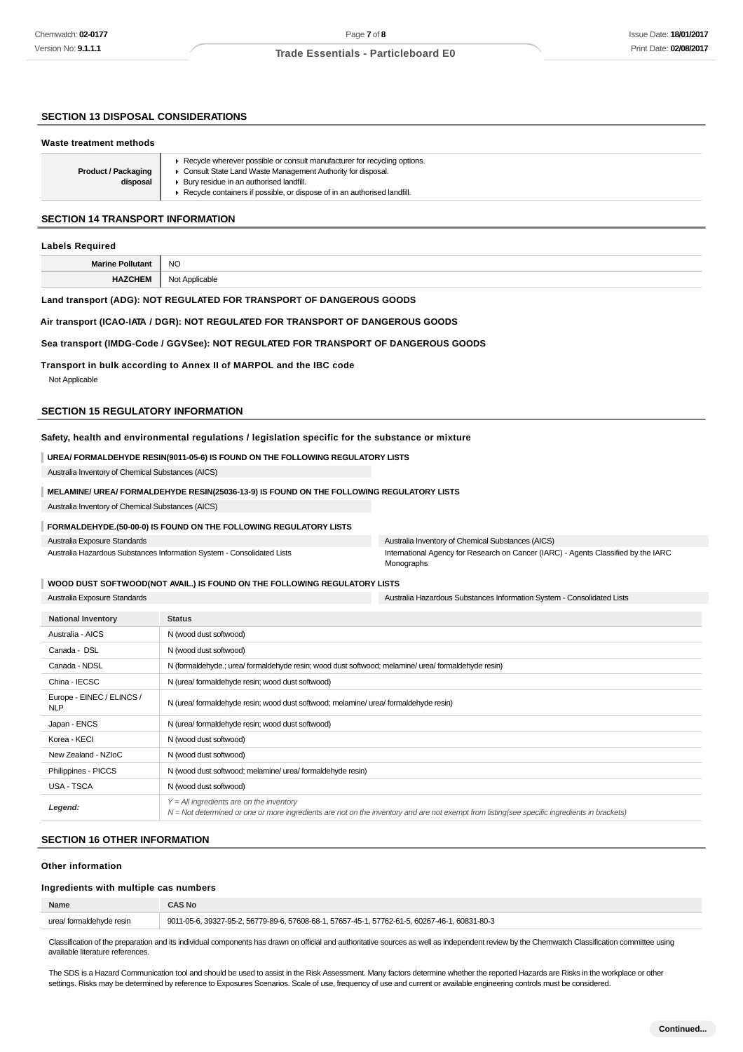### **SECTION 13 DISPOSAL CONSIDERATIONS**

#### **Waste treatment methods**

| <b>Product / Packaging</b><br>disposal | Recycle wherever possible or consult manufacturer for recycling options.<br>• Consult State Land Waste Management Authority for disposal.<br>▶ Bury residue in an authorised landfill.<br>Recycle containers if possible, or dispose of in an authorised landfill. |
|----------------------------------------|--------------------------------------------------------------------------------------------------------------------------------------------------------------------------------------------------------------------------------------------------------------------|

#### **SECTION 14 TRANSPORT INFORMATION**

#### **Labels Required**

**Marine Pollutant** NO **HAZCHEM** Not Applicable

### **Land transport (ADG): NOT REGULATED FOR TRANSPORT OF DANGEROUS GOODS**

#### **Air transport (ICAO-IATA / DGR): NOT REGULATED FOR TRANSPORT OF DANGEROUS GOODS**

#### **Sea transport (IMDG-Code / GGVSee): NOT REGULATED FOR TRANSPORT OF DANGEROUS GOODS**

#### **Transport in bulk according to Annex II of MARPOL and the IBC code**

Not Applicable

#### **SECTION 15 REGULATORY INFORMATION**

#### **Safety, health and environmental regulations / legislation specific for the substance or mixture**

**UREA/ FORMALDEHYDE RESIN(9011-05-6) IS FOUND ON THE FOLLOWING REGULATORY LISTS** Australia Inventory of Chemical Substances (AICS)

#### **MELAMINE/ UREA/ FORMALDEHYDE RESIN(25036-13-9) IS FOUND ON THE FOLLOWING REGULATORY LISTS**

Australia Inventory of Chemical Substances (AICS)

#### **FORMALDEHYDE.(50-00-0) IS FOUND ON THE FOLLOWING REGULATORY LISTS**

Australia Exposure Standards

Australia Hazardous Substances Information System - Consolidated Lists

Australia Inventory of Chemical Substances (AICS) International Agency for Research on Cancer (IARC) - Agents Classified by the IARC Monographs

#### **WOOD DUST SOFTWOOD(NOT AVAIL.) IS FOUND ON THE FOLLOWING REGULATORY LISTS**

Australia Exposure Standards Australia Hazardous Substances Information System - Consolidated Lists

| <b>National Inventory</b>               | <b>Status</b>                                                                                                                                                                                |
|-----------------------------------------|----------------------------------------------------------------------------------------------------------------------------------------------------------------------------------------------|
| Australia - AICS                        | N (wood dust softwood)                                                                                                                                                                       |
| Canada - DSL                            | N (wood dust softwood)                                                                                                                                                                       |
| Canada - NDSL                           | N (formaldehyde.; urea/ formaldehyde resin; wood dust softwood; melamine/ urea/ formaldehyde resin)                                                                                          |
| China - IECSC                           | N (urea/formaldehyde resin; wood dust softwood)                                                                                                                                              |
| Europe - EINEC / ELINCS /<br><b>NLP</b> | N (urea/ formaldehyde resin; wood dust softwood; melamine/ urea/ formaldehyde resin)                                                                                                         |
| Japan - ENCS                            | N (urea/ formaldehyde resin; wood dust softwood)                                                                                                                                             |
| Korea - KECI                            | N (wood dust softwood)                                                                                                                                                                       |
| New Zealand - NZIoC                     | N (wood dust softwood)                                                                                                                                                                       |
| Philippines - PICCS                     | N (wood dust softwood; melamine/ urea/ formaldehyde resin)                                                                                                                                   |
| USA - TSCA                              | N (wood dust softwood)                                                                                                                                                                       |
| Legend:                                 | $Y = All$ ingredients are on the inventory<br>$N = Not$ determined or one or more ingredients are not on the inventory and are not exempt from listing(see specific ingredients in brackets) |

### **SECTION 16 OTHER INFORMATION**

### **Other information**

### **Ingredients with multiple cas numbers**

| Name                          | 4S No                                                                                              |
|-------------------------------|----------------------------------------------------------------------------------------------------|
| urea/<br>/ formaldehvde resin | $.60831 - 80 - 3$<br>3327-95-2, 56779-89-6, 57608-68-1,<br>1.57762-61-5.60267-46-1<br>.57657-45-1. |
|                               |                                                                                                    |

Classification of the preparation and its individual components has drawn on official and authoritative sources as well as independent review by the Chemwatch Classification committee using available literature references.

The SDS is a Hazard Communication tool and should be used to assist in the Risk Assessment. Many factors determine whether the reported Hazards are Risks in the workplace or other settings. Risks may be determined by reference to Exposures Scenarios. Scale of use, frequency of use and current or available engineering controls must be considered.